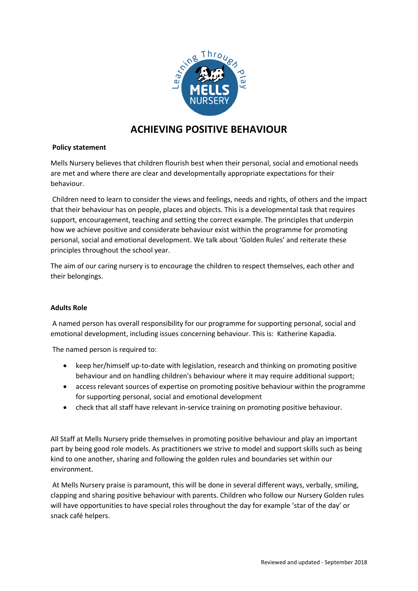

# **ACHIEVING POSITIVE BEHAVIOUR**

# **Policy statement**

Mells Nursery believes that children flourish best when their personal, social and emotional needs are met and where there are clear and developmentally appropriate expectations for their behaviour.

Children need to learn to consider the views and feelings, needs and rights, of others and the impact that their behaviour has on people, places and objects. This is a developmental task that requires support, encouragement, teaching and setting the correct example. The principles that underpin how we achieve positive and considerate behaviour exist within the programme for promoting personal, social and emotional development. We talk about 'Golden Rules' and reiterate these principles throughout the school year.

The aim of our caring nursery is to encourage the children to respect themselves, each other and their belongings.

### **Adults Role**

A named person has overall responsibility for our programme for supporting personal, social and emotional development, including issues concerning behaviour. This is: Katherine Kapadia.

The named person is required to:

- keep her/himself up-to-date with legislation, research and thinking on promoting positive behaviour and on handling children's behaviour where it may require additional support;
- access relevant sources of expertise on promoting positive behaviour within the programme for supporting personal, social and emotional development
- check that all staff have relevant in-service training on promoting positive behaviour.

All Staff at Mells Nursery pride themselves in promoting positive behaviour and play an important part by being good role models. As practitioners we strive to model and support skills such as being kind to one another, sharing and following the golden rules and boundaries set within our environment.

At Mells Nursery praise is paramount, this will be done in several different ways, verbally, smiling, clapping and sharing positive behaviour with parents. Children who follow our Nursery Golden rules will have opportunities to have special roles throughout the day for example 'star of the day' or snack café helpers.